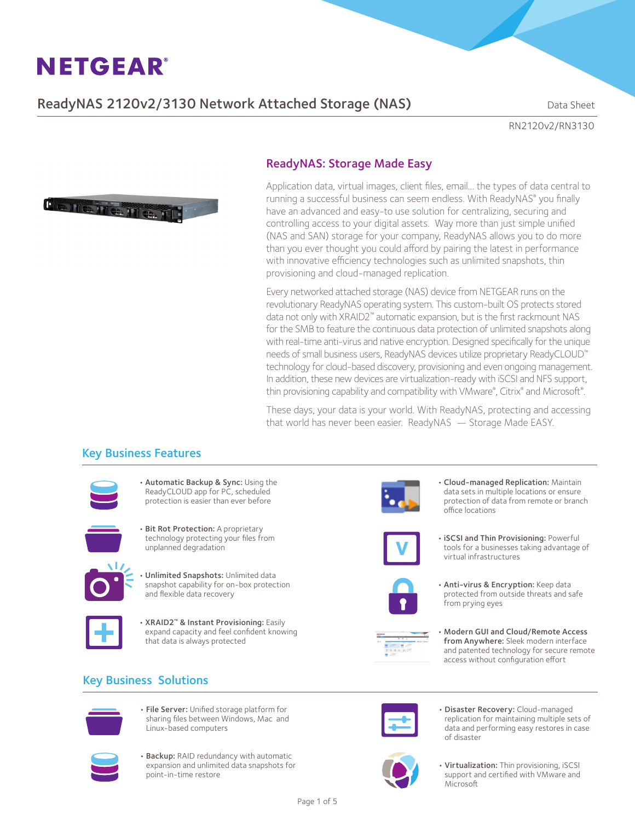## ReadyNAS 2120v2/3130 Network Attached Storage (NAS) Data Sheet

RN2120v2/RN3130



## ReadyNAS: Storage Made Easy

Application data, virtual images, client files, email… the types of data central to running a successful business can seem endless. With ReadyNAS® you finally have an advanced and easy-to use solution for centralizing, securing and controlling access to your digital assets. Way more than just simple unified (NAS and SAN) storage for your company, ReadyNAS allows you to do more than you ever thought you could afford by pairing the latest in performance with innovative efficiency technologies such as unlimited snapshots, thin provisioning and cloud-managed replication.

Every networked attached storage (NAS) device from NETGEAR runs on the revolutionary ReadyNAS operating system. This custom-built OS protects stored data not only with XRAID2™ automatic expansion, but is the first rackmount NAS for the SMB to feature the continuous data protection of unlimited snapshots along with real-time anti-virus and native encryption. Designed specifically for the unique needs of small business users, ReadyNAS devices utilize proprietary ReadyCLOUD™ technology for cloud-based discovery, provisioning and even ongoing management. In addition, these new devices are virtualization-ready with iSCSI and NFS support, thin provisioning capability and compatibility with VMware®, Citrix® and Microsoft® .

These days, your data is your world. With ReadyNAS, protecting and accessing that world has never been easier. ReadyNAS — Storage Made EASY.

## Key Business Features



• Automatic Backup & Sync: Using the ReadyCLOUD app for PC, scheduled protection is easier than ever before



• Bit Rot Protection: A proprietary technology protecting your files from unplanned degradation



• Unlimited Snapshots: Unlimited data snapshot capability for on-box protection and flexible data recovery



• XRAID2™ & Instant Provisioning: Easily expand capacity and feel confident knowing that data is always protected

## Key Business Solutions



• File Server: Unified storage platform for sharing files between Windows, Mac and Linux-based computers



• Backup: RAID redundancy with automatic expansion and unlimited data snapshots for point-in-time restore



• Cloud-managed Replication: Maintain data sets in multiple locations or ensure protection of data from remote or branch office locations



• iSCSI and Thin Provisioning: Powerful tools for a businesses taking advantage of virtual infrastructures



• Anti-virus & Encryption: Keep data protected from outside threats and safe from prying eyes



Modern GUI and Cloud/Remote Access from Anywhere: Sleek modern interface and patented technology for secure remote access without configuration effort



· Disaster Recovery: Cloud-managed replication for maintaining multiple sets of data and performing easy restores in case of disaster



• Virtualization: Thin provisioning, iSCSI support and certified with VMware and Microsoft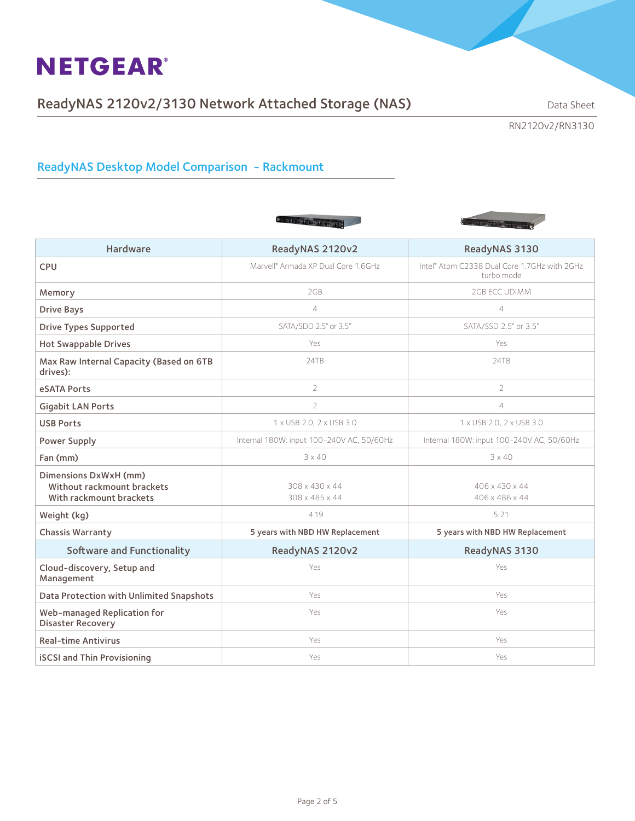# ReadyNAS 2120v2/3130 Network Attached Storage (NAS) Data Sheet

RN2120v2/RN3130

## ReadyNAS Desktop Model Comparison - Rackmount





| <b>Hardware</b>                                                                | ReadyNAS 2120v2                                 | ReadyNAS 3130                                              |
|--------------------------------------------------------------------------------|-------------------------------------------------|------------------------------------------------------------|
| <b>CPU</b>                                                                     | Marvell <sup>®</sup> Armada XP Dual Core 1.6GHz | Intel® Atom C2338 Dual Core 1.7GHz with 2GHz<br>turbo mode |
| Memory                                                                         | 2GB                                             | 2GB ECC UDIMM                                              |
| <b>Drive Bays</b>                                                              | $\overline{4}$                                  | $\overline{4}$                                             |
| <b>Drive Types Supported</b>                                                   | SATA/SDD 2.5" or 3.5"                           | SATA/SSD 2.5" or 3.5"                                      |
| <b>Hot Swappable Drives</b>                                                    | Yes                                             | Yes.                                                       |
| Max Raw Internal Capacity (Based on 6TB<br>drives):                            | 24TB                                            | 24TB                                                       |
| eSATA Ports                                                                    | $\overline{2}$                                  | $\overline{2}$                                             |
| <b>Gigabit LAN Ports</b>                                                       | $\overline{2}$                                  | 4                                                          |
| <b>USB Ports</b>                                                               | 1 x USB 2.0, 2 x USB 3.0                        | 1 x USB 2.0, 2 x USB 3.0                                   |
| <b>Power Supply</b>                                                            | Internal 180W: input 100-240V AC, 50/60Hz       | Internal 180W: input 100-240V AC, 50/60Hz                  |
| Fan (mm)                                                                       | $3 \times 40$                                   | $3 \times 40$                                              |
| Dimensions DxWxH (mm)<br>Without rackmount brackets<br>With rackmount brackets | 308 x 430 x 44<br>308 x 485 x 44                | 406 x 430 x 44<br>406 x 486 x 44                           |
| Weight (kg)                                                                    | 4.19                                            | 5.21                                                       |
| Chassis Warranty                                                               | 5 years with NBD HW Replacement                 | 5 years with NBD HW Replacement                            |
| <b>Software and Functionality</b>                                              | ReadyNAS 2120v2                                 | ReadyNAS 3130                                              |
| Cloud-discovery, Setup and<br>Management                                       | Yes                                             | Yes                                                        |
| Data Protection with Unlimited Snapshots                                       | Yes                                             | Yes                                                        |
| Web-managed Replication for<br><b>Disaster Recovery</b>                        | Yes                                             | Yes                                                        |
| <b>Real-time Antivirus</b>                                                     | Yes                                             | Yes                                                        |
| <b>iSCSI and Thin Provisioning</b>                                             | Yes                                             | Yes                                                        |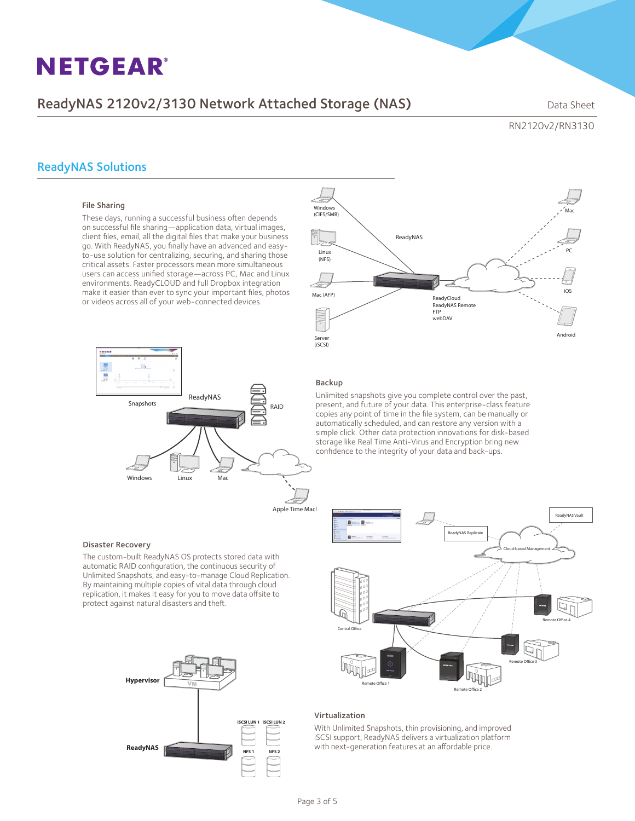## ReadyNAS 2120v2/3130 Network Attached Storage (NAS) Data Sheet

RN2120v2/RN3130

## ReadyNAS Solutions

### File Sharing

These days, running a successful business often depends on successful file sharing—application data, virtual images, client files, email, all the digital files that make your business go. With ReadyNAS, you finally have an advanced and easyto-use solution for centralizing, securing, and sharing those critical assets. Faster processors mean more simultaneous users can access unified storage—across PC, Mac and Linux environments. ReadyCLOUD and full Dropbox integration make it easier than ever to sync your important files, photos or videos across all of your web-connected devices.



#### Disaster Recovery

The custom-built ReadyNAS OS protects stored data with automatic RAID configuration, the continuous security of Unlimited Snapshots, and easy-to-manage Cloud Replication. By maintaining multiple copies of vital data through cloud replication, it makes it easy for you to move data offsite to protect against natural disasters and theft.





#### Backup

Unlimited snapshots give you complete control over the past, present, and future of your data. This enterprise-class feature copies any point of time in the file system, can be manually or automatically scheduled, and can restore any version with a simple click. Other data protection innovations for disk-based storage like Real Time Anti-Virus and Encryption bring new confidence to the integrity of your data and back-ups.



#### Virtualization

With Unlimited Snapshots, thin provisioning, and improved iSCSI support, ReadyNAS delivers a virtualization platform with next-generation features at an affordable price.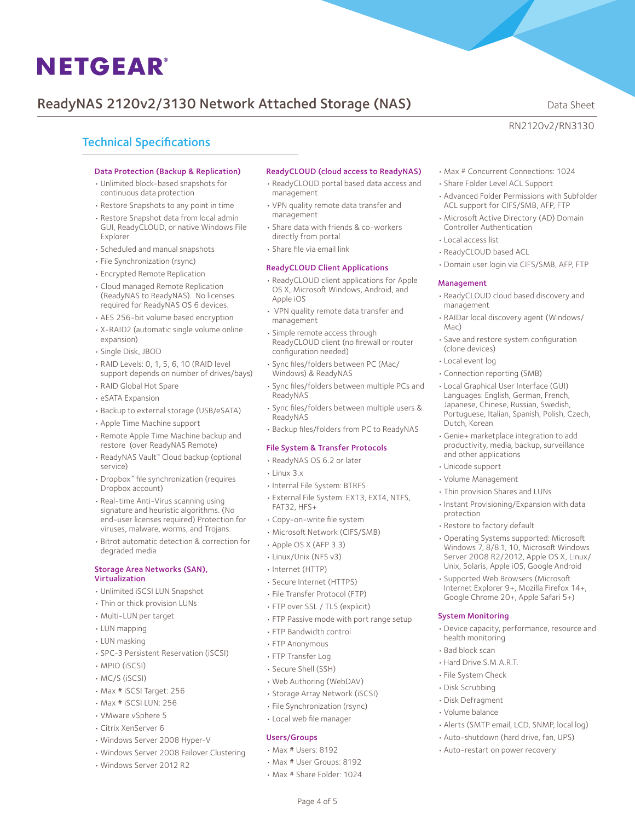# ReadyNAS 2120v2/3130 Network Attached Storage (NAS) Data Sheet

RN2120v2/RN3130

## Technical Specifications

#### Data Protection (Backup & Replication)

- • Unlimited block-based snapshots for continuous data protection
- • Restore Snapshots to any point in time
- • Restore Snapshot data from local admin GUI, ReadyCLOUD, or native Windows File Explorer
- • Scheduled and manual snapshots
- • File Synchronization (rsync)
- • Encrypted Remote Replication
- • Cloud managed Remote Replication (ReadyNAS to ReadyNAS). No licenses required for ReadyNAS OS 6 devices.
- AES 256-bit volume based encryption
- • X-RAID2 (automatic single volume online expansion)
- • Single Disk, JBOD
- • RAID Levels: 0, 1, 5, 6, 10 (RAID level support depends on number of drives/bays)
- • RAID Global Hot Spare
- eSATA Expansion
- • Backup to external storage (USB/eSATA)
- • Apple Time Machine support
- • Remote Apple Time Machine backup and restore (over ReadyNAS Remote)
- • ReadyNAS Vault™ Cloud backup (optional service)
- • Dropbox™ file synchronization (requires Dropbox account)
- Real-time Anti-Virus scanning using signature and heuristic algorithms. (No end-user licenses required) Protection for viruses, malware, worms, and Trojans.
- • Bitrot automatic detection & correction for degraded media

#### Storage Area Networks (SAN), Virtualization

- • Unlimited iSCSI LUN Snapshot
- Thin or thick provision LUNs
- • Multi-LUN per target
- • LUN mapping
- • LUN masking
- • SPC-3 Persistent Reservation (iSCSI)
- • MPIO (iSCSI)
- • MC/S (iSCSI)
- • Max # iSCSI Target: 256
- • Max # iSCSI LUN: 256
- • VMware vSphere 5
- • Citrix XenServer 6
- • Windows Server 2008 Hyper-V
- • Windows Server 2008 Failover Clustering
- • Windows Server 2012 R2

#### ReadyCLOUD (cloud access to ReadyNAS)

- • ReadyCLOUD portal based data access and management
- • VPN quality remote data transfer and management
- • Share data with friends & co-workers directly from portal
- • Share file via email link

### ReadyCLOUD Client Applications

- • ReadyCLOUD client applications for Apple OS X, Microsoft Windows, Android, and Apple iOS
- • VPN quality remote data transfer and management
- • Simple remote access through ReadyCLOUD client (no firewall or router configuration needed)
- • Sync files/folders between PC (Mac/ Windows) & ReadyNAS
- • Sync files/folders between multiple PCs and ReadyNAS
- • Sync files/folders between multiple users & ReadyNAS
- • Backup files/folders from PC to ReadyNAS

#### File System & Transfer Protocols

- • ReadyNAS OS 6.2 or later
- • Linux 3.x
- • Internal File System: BTRFS
- • External File System: EXT3, EXT4, NTFS, FAT32, HFS+
- • Copy-on-write file system
- • Microsoft Network (CIFS/SMB)
- • Apple OS X (AFP 3.3)
- • Linux/Unix (NFS v3)
- • Internet (HTTP)
- • Secure Internet (HTTPS)
- • File Transfer Protocol (FTP)
- FTP over SSL / TLS (explicit)
- FTP Passive mode with port range setup
- • FTP Bandwidth control
- FTP Anonymous
- FTP Transfer Log
- • Secure Shell (SSH)
- • Web Authoring (WebDAV)
- • Storage Array Network (iSCSI)
- • File Synchronization (rsync)
- • Local web file manager

#### Users/Groups

- • Max # Users: 8192
- • Max # User Groups: 8192
- • Max # Share Folder: 1024

Page 4 of 5

- • Max # Concurrent Connections: 1024
- • Share Folder Level ACL Support
- • Advanced Folder Permissions with Subfolder ACL support for CIFS/SMB, AFP, FTP
- • Microsoft Active Directory (AD) Domain Controller Authentication
- • Local access list
- • ReadyCLOUD based ACL
- • Domain user login via CIFS/SMB, AFP, FTP

#### Management

- • ReadyCLOUD cloud based discovery and management
- • RAIDar local discovery agent (Windows/ Mac)
- • Save and restore system configuration (clone devices)
- • Local event log
- • Connection reporting (SMB)
- • Local Graphical User Interface (GUI) Languages: English, German, French, Japanese, Chinese, Russian, Swedish, Portuguese, Italian, Spanish, Polish, Czech, Dutch, Korean
- • Genie+ marketplace integration to add productivity, media, backup, surveillance and other applications
- • Unicode support
- • Volume Management

System Monitoring

health monitoring • Bad block scan • Hard Drive S.M.A.R.T. • File System Check • Disk Scrubbing • Disk Defragment • Volume balance

- • Thin provision Shares and LUNs
- • Instant Provisioning/Expansion with data protection

• Operating Systems supported: Microsoft Windows 7, 8/8.1, 10, Microsoft Windows Server 2008 R2/2012, Apple OS X, Linux/ Unix, Solaris, Apple iOS, Google Android • Supported Web Browsers (Microsoft Internet Explorer 9+, Mozilla Firefox 14+, Google Chrome 20+, Apple Safari 5+)

• Device capacity, performance, resource and

• Alerts (SMTP email, LCD, SNMP, local log) • Auto-shutdown (hard drive, fan, UPS) • Auto-restart on power recovery

• Restore to factory default